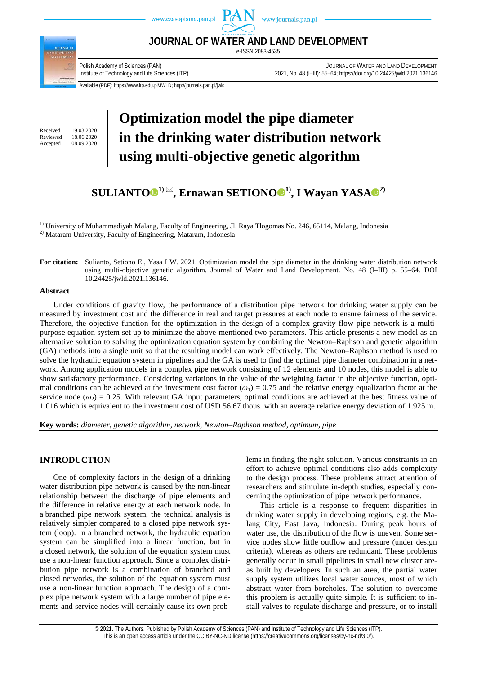



**JOURNAL OF WATER AND LAND DEVELOPMENT** e-ISSN 2083-4535

Polish Academy of Sciences (PAN)<br>2021.136146 JOURNAL OF WATER AND LEND DEVELOPMENT<br>2021.136146 Polish Academy of Technology and Life Sciences (ITP) 2021, No. 48 (I–III): 55–64; https://doi.org/10.24425/jwld.2021.136146

Available (PDF): https://www.itp.edu.pl/JWLD; http://journals.pan.pl/jwld

Received 19.03.2020<br>Reviewed 18.06.2020 Reviewed 18.06.2020<br>Accepted 08.09.2020 08.09.2020

# **Optimization model the pipe diameter in the drinking water distribution network using multi-objective genetic algorithm**

# **SULIANT[O](https://orcid.org/0000-0003-3919-1185) 1) , Ernawan SETION[O](https://orcid.org/0000-0001-8434-0122) 1), I Wayan YASA 2)**

<sup>1)</sup> University of Muhammadiyah Malang, Faculty of Engineering, Jl. Raya Tlogomas No. 246, 65114, Malang, Indonesia 2) Mataram University, Faculty of Engineering, Mataram, Indonesia

### **For citation:** Sulianto, Setiono E., Yasa I W. 2021. Optimization model the pipe diameter in the drinking water distribution network using multi-objective genetic algorithm. Journal of Water and Land Development. No. 48 (I–III) p. 55–64. DOI 10.24425/jwld.2021.136146.

#### **Abstract**

Under conditions of gravity flow, the performance of a distribution pipe network for drinking water supply can be measured by investment cost and the difference in real and target pressures at each node to ensure fairness of the service. Therefore, the objective function for the optimization in the design of a complex gravity flow pipe network is a multipurpose equation system set up to minimize the above-mentioned two parameters. This article presents a new model as an alternative solution to solving the optimization equation system by combining the Newton–Raphson and genetic algorithm (GA) methods into a single unit so that the resulting model can work effectively. The Newton–Raphson method is used to solve the hydraulic equation system in pipelines and the GA is used to find the optimal pipe diameter combination in a network. Among application models in a complex pipe network consisting of 12 elements and 10 nodes, this model is able to show satisfactory performance. Considering variations in the value of the weighting factor in the objective function, optimal conditions can be achieved at the investment cost factor  $(\omega_1) = 0.75$  and the relative energy equalization factor at the service node  $(\omega_2)$  = 0.25. With relevant GA input parameters, optimal conditions are achieved at the best fitness value of 1.016 which is equivalent to the investment cost of USD 56.67 thous. with an average relative energy deviation of 1.925 m.

**Key words:** *diameter, genetic algorithm, network, Newton–Raphson method, optimum, pipe* 

# **INTRODUCTION**

One of complexity factors in the design of a drinking water distribution pipe network is caused by the non-linear relationship between the discharge of pipe elements and the difference in relative energy at each network node. In a branched pipe network system, the technical analysis is relatively simpler compared to a closed pipe network system (loop). In a branched network, the hydraulic equation system can be simplified into a linear function, but in a closed network, the solution of the equation system must use a non-linear function approach. Since a complex distribution pipe network is a combination of branched and closed networks, the solution of the equation system must use a non-linear function approach. The design of a complex pipe network system with a large number of pipe elements and service nodes will certainly cause its own problems in finding the right solution. Various constraints in an effort to achieve optimal conditions also adds complexity to the design process. These problems attract attention of researchers and stimulate in-depth studies, especially concerning the optimization of pipe network performance.

This article is a response to frequent disparities in drinking water supply in developing regions, e.g. the Malang City, East Java, Indonesia. During peak hours of water use, the distribution of the flow is uneven. Some service nodes show little outflow and pressure (under design criteria), whereas as others are redundant. These problems generally occur in small pipelines in small new cluster areas built by developers. In such an area, the partial water supply system utilizes local water sources, most of which abstract water from boreholes. The solution to overcome this problem is actually quite simple. It is sufficient to install valves to regulate discharge and pressure, or to install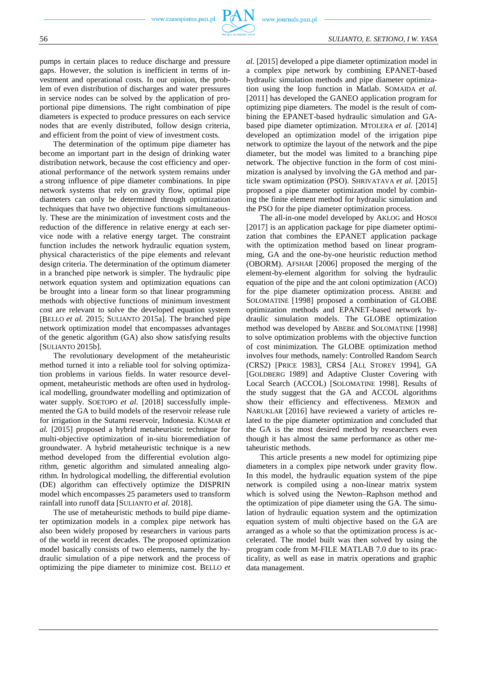pumps in certain places to reduce discharge and pressure gaps. However, the solution is inefficient in terms of investment and operational costs. In our opinion, the problem of even distribution of discharges and water pressures in service nodes can be solved by the application of proportional pipe dimensions. The right combination of pipe diameters is expected to produce pressures on each service nodes that are evenly distributed, follow design criteria, and efficient from the point of view of investment costs.

The determination of the optimum pipe diameter has become an important part in the design of drinking water distribution network, because the cost efficiency and operational performance of the network system remains under a strong influence of pipe diameter combinations. In pipe network systems that rely on gravity flow, optimal pipe diameters can only be determined through optimization techniques that have two objective functions simultaneously. These are the minimization of investment costs and the reduction of the difference in relative energy at each service node with a relative energy target. The constraint function includes the network hydraulic equation system, physical characteristics of the pipe elements and relevant design criteria. The determination of the optimum diameter in a branched pipe network is simpler. The hydraulic pipe network equation system and optimization equations can be brought into a linear form so that linear programming methods with objective functions of minimum investment cost are relevant to solve the developed equation system [BELLO *et al.* 2015; SULIANTO 2015a]. The branched pipe network optimization model that encompasses advantages of the genetic algorithm (GA) also show satisfying results [SULIANTO 2015b].

The revolutionary development of the metaheuristic method turned it into a reliable tool for solving optimization problems in various fields. In water resource development, metaheuristic methods are often used in hydrological modelling, groundwater modelling and optimization of water supply. SOETOPO *et al.* [2018] successfully implemented the GA to build models of the reservoir release rule for irrigation in the Sutami reservoir, Indonesia. KUMAR *et al.* [2015] proposed a hybrid metaheuristic technique for multi-objective optimization of in-situ bioremediation of groundwater. A hybrid metaheuristic technique is a new method developed from the differential evolution algorithm, genetic algorithm and simulated annealing algorithm. In hydrological modelling, the differential evolution (DE) algorithm can effectively optimize the DISPRIN model which encompasses 25 parameters used to transform rainfall into runoff data [SULIANTO *et al.* 2018].

The use of metaheuristic methods to build pipe diameter optimization models in a complex pipe network has also been widely proposed by researchers in various parts of the world in recent decades. The proposed optimization model basically consists of two elements, namely the hydraulic simulation of a pipe network and the process of optimizing the pipe diameter to minimize cost. BELLO *et* 

*al.* [2015] developed a pipe diameter optimization model in a complex pipe network by combining EPANET-based hydraulic simulation methods and pipe diameter optimization using the loop function in Matlab. SOMAIDA *et al.* [2011] has developed the GANEO application program for optimizing pipe diameters. The model is the result of combining the EPANET-based hydraulic simulation and GAbased pipe diameter optimization. MTOLERA *et al.* [2014] developed an optimization model of the irrigation pipe network to optimize the layout of the network and the pipe diameter, but the model was limited to a branching pipe network. The objective function in the form of cost minimization is analysed by involving the GA method and particle swam optimization (PSO). SHRIVATAVA *et al.* [2015] proposed a pipe diameter optimization model by combining the finite element method for hydraulic simulation and the PSO for the pipe diameter optimization process.

The all-in-one model developed by AKLOG and HOSOI [2017] is an application package for pipe diameter optimization that combines the EPANET application package with the optimization method based on linear programming, GA and the one-by-one heuristic reduction method (OBORM). AFSHAR [2006] proposed the merging of the element-by-element algorithm for solving the hydraulic equation of the pipe and the ant coloni optimization (ACO) for the pipe diameter optimization process. ABEBE and SOLOMATINE [1998] proposed a combination of GLOBE optimization methods and EPANET-based network hydraulic simulation models. The GLOBE optimization method was developed by ABEBE and SOLOMATINE [1998] to solve optimization problems with the objective function of cost minimization. The GLOBE optimization method involves four methods, namely: Controlled Random Search (CRS2) [PRICE 1983], CRS4 [ALI, STOREY 1994], GA [GOLDBERG 1989] and Adaptive Cluster Covering with Local Search (ACCOL) [SOLOMATINE 1998]. Results of the study suggest that the GA and ACCOL algorithms show their efficiency and effectiveness. MEMON and NARUKLAR [2016] have reviewed a variety of articles related to the pipe diameter optimization and concluded that the GA is the most desired method by researchers even though it has almost the same performance as other metaheuristic methods.

This article presents a new model for optimizing pipe diameters in a complex pipe network under gravity flow. In this model, the hydraulic equation system of the pipe network is compiled using a non-linear matrix system which is solved using the Newton–Raphson method and the optimization of pipe diameter using the GA. The simulation of hydraulic equation system and the optimization equation system of multi objective based on the GA are arranged as a whole so that the optimization process is accelerated. The model built was then solved by using the program code from M-FILE MATLAB 7.0 due to its practicality, as well as ease in matrix operations and graphic data management.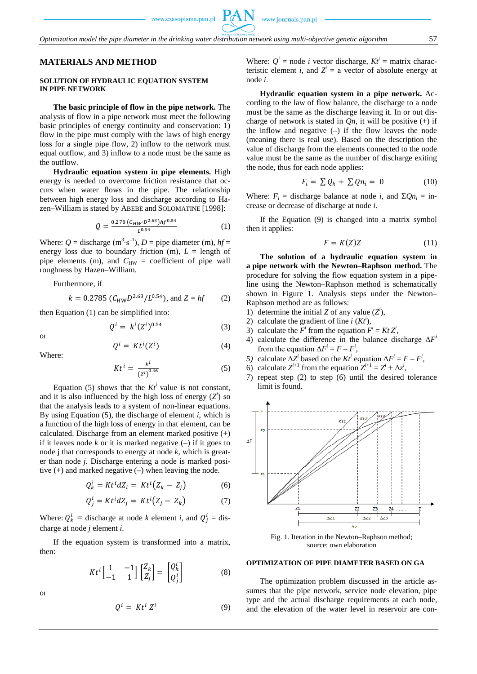# **MATERIALS AND METHOD**

#### **SOLUTION OF HYDRAULIC EQUATION SYSTEM IN PIPE NETWORK**

**The basic principle of flow in the pipe network.** The analysis of flow in a pipe network must meet the following basic principles of energy continuity and conservation: 1) flow in the pipe must comply with the laws of high energy loss for a single pipe flow, 2) inflow to the network must equal outflow, and 3) inflow to a node must be the same as the outflow.

**Hydraulic equation system in pipe elements.** High energy is needed to overcome friction resistance that occurs when water flows in the pipe. The relationship between high energy loss and discharge according to Hazen–William is stated by ABEBE and SOLOMATINE [1998]:

$$
Q = \frac{0.278 (c_{HW}D^{2.63})hf^{0.54}}{L^{0.54}}
$$
 (1)

Where:  $Q =$  discharge (m<sup>3</sup>·s<sup>-1</sup>),  $D =$  pipe diameter (m),  $hf =$ energy loss due to boundary friction (m),  $L =$  length of pipe elements (m), and  $C_{HW}$  = coefficient of pipe wall roughness by Hazen–William.

Furthermore, if

$$
k = 0.2785 (C_{HW}D^{2.63}/L^{0.54}),
$$
 and  $Z = hf$  (2)

then Equation (1) can be simplified into:

$$
Q^i = k^i (Z^i)^{0.54} \tag{3}
$$

or

$$
Q^i = Kt^i(Z^i) \tag{4}
$$

Where:

$$
Kt^{i} = \frac{k^{i}}{(z^{i})^{0.46}}
$$
 (5)

Equation (5) shows that the  $Kt^i$  value is not constant, and it is also influenced by the high loss of energy  $(Z<sup>i</sup>)$  so that the analysis leads to a system of non-linear equations. By using Equation (5), the discharge of element *i*, which is a function of the high loss of energy in that element, can be calculated. Discharge from an element marked positive (+) if it leaves node  $k$  or it is marked negative  $(-)$  if it goes to node j that corresponds to energy at node *k*, which is greater than node *j*. Discharge entering a node is marked positive  $(+)$  and marked negative  $(-)$  when leaving the node.

$$
Q_k^i = Kt^idZ_i = Kt^i(Z_k - Z_j)
$$
 (6)

$$
Q_j^i = Kt^i dZ_j = Kt^i (Z_j - Z_k)
$$
 (7)

Where:  $Q_k^i$  = discharge at node *k* element *i*, and  $Q_j^i$  = discharge at node *j* element *i*.

If the equation system is transformed into a matrix, then:

$$
Kt^{i}\begin{bmatrix} 1 & -1 \\ -1 & 1 \end{bmatrix} \begin{bmatrix} Z_{k} \\ Z_{j} \end{bmatrix} = \begin{bmatrix} Q_{k}^{i} \\ Q_{j}^{i} \end{bmatrix}
$$
 (8)

or

$$
Q^i = Kt^i Z^i \tag{9}
$$

Where:  $Q^i$  = node *i* vector discharge,  $Kt^i$  = matrix characteristic element *i*, and  $Z^i = a$  vector of absolute energy at node *i*.

**Hydraulic equation system in a pipe network.** According to the law of flow balance, the discharge to a node must be the same as the discharge leaving it. In or out discharge of network is stated in  $Q_n$ , it will be positive  $(+)$  if the inflow and negative  $(-)$  if the flow leaves the node (meaning there is real use). Based on the description the value of discharge from the elements connected to the node value must be the same as the number of discharge exiting the node, thus for each node applies:

$$
F_i = \sum Q_k + \sum Q n_i = 0 \tag{10}
$$

Where:  $F_i$  = discharge balance at node *i*, and  $\Sigma Qn_i$  = increase or decrease of discharge at node *i*.

If the Equation (9) is changed into a matrix symbol then it applies:

$$
F = K(Z)Z\tag{11}
$$

**The solution of a hydraulic equation system in a pipe network with the Newton–Raphson method.** The procedure for solving the flow equation system in a pipeline using the Newton–Raphson method is schematically shown in Figure 1. Analysis steps under the Newton– Raphson method are as follows:

- 1) determine the initial *Z* of any value  $(Z^i)$ ,
- 2) calculate the gradient of line  $i$  ( $Kt^i$ ),
- 3) calculate the  $F^i$  from the equation  $F^i = Kt Z^i$ ,
- 4) calculate the difference in the balance discharge Δ*F<sup>i</sup>* from the equation  $\Delta F^i = F - F^i$ ,
- *5*) calculate  $\Delta Z^i$  based on the *Kt<sup>i</sup>* equation  $\Delta F^i = F F^i$ ,
- 6) calculate  $Z^{i+1}$  from the equation  $Z^{i+1} = Z^i + \Delta z^i$ ,
- 7) repeat step (2) to step (6) until the desired tolerance limit is found.



Fig. 1. Iteration in the Newton–Raphson method; source: own elaboration

#### **OPTIMIZATION OF PIPE DIAMETER BASED ON GA**

The optimization problem discussed in the article assumes that the pipe network, service node elevation, pipe type and the actual discharge requirements at each node, and the elevation of the water level in reservoir are con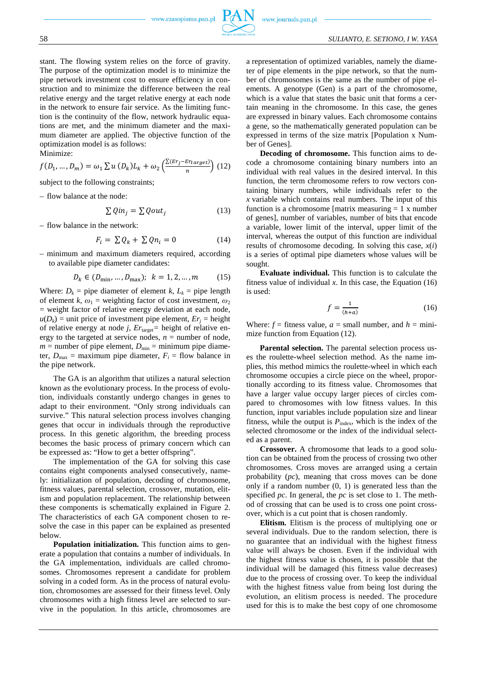stant. The flowing system relies on the force of gravity. The purpose of the optimization model is to minimize the pipe network investment cost to ensure efficiency in construction and to minimize the difference between the real relative energy and the target relative energy at each node in the network to ensure fair service. As the limiting function is the continuity of the flow, network hydraulic equations are met, and the minimum diameter and the maximum diameter are applied. The objective function of the optimization model is as follows: Minimize:

$$
f(D_1, ..., D_m) = \omega_1 \sum u(D_k) L_k + \omega_2 \left(\frac{\sum (Er_j - Er_{target})}{n}\right) (12)
$$

subject to the following constraints;

– flow balance at the node:

$$
\sum Qin_j = \sum Qout_j \tag{13}
$$

– flow balance in the network:

$$
F_i = \sum Q_k + \sum Q n_i = 0 \tag{14}
$$

– minimum and maximum diameters required, according to available pipe diameter candidates:

$$
D_k \in (D_{\min}, \dots, D_{\max}); \ \ k = 1, 2, \dots, m \tag{15}
$$

Where:  $D_k$  = pipe diameter of element *k*,  $L_k$  = pipe length of element *k*,  $\omega_1$  = weighting factor of cost investment,  $\omega_2$ = weight factor of relative energy deviation at each node,  $u(D_k)$  = unit price of investment pipe element,  $Er_j$  = height of relative energy at node *j*, *Er*target*=* height of relative energy to the targeted at service nodes,  $n =$  number of node,  $m =$  number of pipe element,  $D_{\min} =$  minimum pipe diameter,  $D_{\text{max}} =$  maximum pipe diameter,  $F_i =$  flow balance in the pipe network.

The GA is an algorithm that utilizes a natural selection known as the evolutionary process. In the process of evolution, individuals constantly undergo changes in genes to adapt to their environment. "Only strong individuals can survive." This natural selection process involves changing genes that occur in individuals through the reproductive process. In this genetic algorithm, the breeding process becomes the basic process of primary concern which can be expressed as: "How to get a better offspring".

The implementation of the GA for solving this case contains eight components analysed consecutively, namely: initialization of population, decoding of chromosome, fitness values, parental selection, crossover, mutation, elitism and population replacement. The relationship between these components is schematically explained in Figure 2. The characteristics of each GA component chosen to resolve the case in this paper can be explained as presented below.

**Population initialization.** This function aims to generate a population that contains a number of individuals. In the GA implementation, individuals are called chromosomes. Chromosomes represent a candidate for problem solving in a coded form. As in the process of natural evolution, chromosomes are assessed for their fitness level. Only chromosomes with a high fitness level are selected to survive in the population. In this article, chromosomes are a representation of optimized variables, namely the diameter of pipe elements in the pipe network, so that the number of chromosomes is the same as the number of pipe elements. A genotype (Gen) is a part of the chromosome, which is a value that states the basic unit that forms a certain meaning in the chromosome. In this case, the genes are expressed in binary values. Each chromosome contains a gene, so the mathematically generated population can be expressed in terms of the size matrix [Population x Number of Genes].

**Decoding of chromosome.** This function aims to decode a chromosome containing binary numbers into an individual with real values in the desired interval. In this function, the term chromosome refers to row vectors containing binary numbers, while individuals refer to the *x* variable which contains real numbers. The input of this function is a chromosome [matrix measuring  $= 1$  x number of genes], number of variables, number of bits that encode a variable, lower limit of the interval, upper limit of the interval, whereas the output of this function are individual results of chromosome decoding. In solving this case, *x*(*i*) is a series of optimal pipe diameters whose values will be sought.

**Evaluate individual.** This function is to calculate the fitness value of individual  $x$ . In this case, the Equation  $(16)$ is used:

$$
f = \frac{1}{(h+a)}\tag{16}
$$

Where:  $f =$  fitness value,  $a =$  small number, and  $h =$  minimize function from Equation (12).

**Parental selection.** The parental selection process uses the roulette-wheel selection method. As the name implies, this method mimics the roulette-wheel in which each chromosome occupies a circle piece on the wheel, proportionally according to its fitness value. Chromosomes that have a larger value occupy larger pieces of circles compared to chromosomes with low fitness values. In this function, input variables include population size and linear fitness, while the output is  $P_{index}$ , which is the index of the selected chromosome or the index of the individual selected as a parent.

**Crossover.** A chromosome that leads to a good solution can be obtained from the process of crossing two other chromosomes. Cross moves are arranged using a certain probability (*pc*), meaning that cross moves can be done only if a random number  $(0, 1)$  is generated less than the specified *pc*. In general, the *pc* is set close to 1. The method of crossing that can be used is to cross one point crossover, which is a cut point that is chosen randomly.

**Elitism.** Elitism is the process of multiplying one or several individuals. Due to the random selection, there is no guarantee that an individual with the highest fitness value will always be chosen. Even if the individual with the highest fitness value is chosen, it is possible that the individual will be damaged (his fitness value decreases) due to the process of crossing over. To keep the individual with the highest fitness value from being lost during the evolution, an elitism process is needed. The procedure used for this is to make the best copy of one chromosome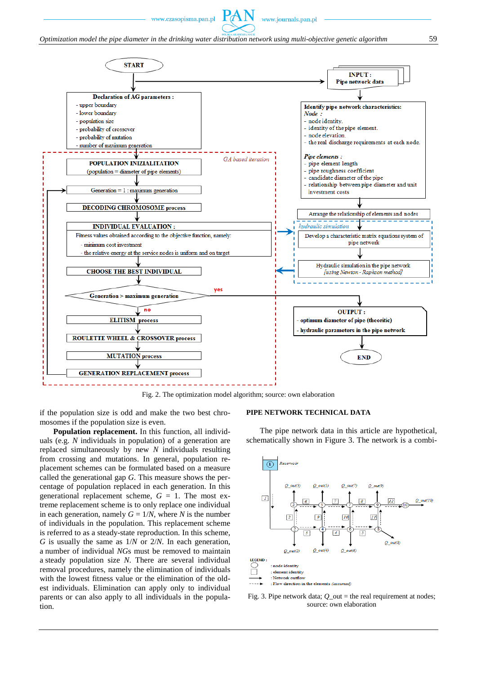

Fig. 2. The optimization model algorithm; source: own elaboration

if the population size is odd and make the two best chromosomes if the population size is even.

**Population replacement.** In this function, all individuals (e.g. *N* individuals in population) of a generation are replaced simultaneously by new *N* individuals resulting from crossing and mutations. In general, population replacement schemes can be formulated based on a measure called the generational gap *G*. This measure shows the percentage of population replaced in each generation. In this generational replacement scheme,  $G = 1$ . The most extreme replacement scheme is to only replace one individual in each generation, namely  $G = 1/N$ , where *N* is the number of individuals in the population. This replacement scheme is referred to as a steady-state reproduction. In this scheme, *G* is usually the same as 1/*N* or 2/*N*. In each generation, a number of individual *NG*s must be removed to maintain a steady population size *N*. There are several individual removal procedures, namely the elimination of individuals with the lowest fitness value or the elimination of the oldest individuals. Elimination can apply only to individual parents or can also apply to all individuals in the population.

#### **PIPE NETWORK TECHNICAL DATA**

The pipe network data in this article are hypothetical, schematically shown in Figure 3. The network is a combi-



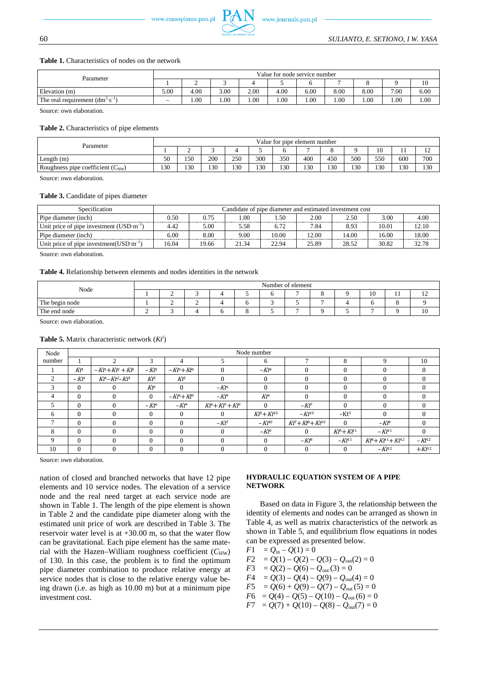#### **Table 1.** Characteristics of nodes on the network

| Parameter                                  | Value for node service number |      |      |      |      |      |      |      |      |      |  |
|--------------------------------------------|-------------------------------|------|------|------|------|------|------|------|------|------|--|
|                                            |                               | ∸    |      |      |      |      |      |      |      | 10   |  |
| Elevation (m)                              | 5.00                          | 4.00 | 3.00 | 2.00 | 4.00 | 6.00 | 8.00 | 8.00 | 7.00 | 6.00 |  |
| The real requirement $(dm^3 \cdot s^{-1})$ | $\hspace{0.05cm}$             | 00.1 | 1.00 | 00.1 | 1.00 | 1.00 | 00.1 | 1.00 | 1.00 | 00.1 |  |

Source: own elaboration.

#### **Table 2.** Characteristics of pipe elements

| Parameter                             | Value for pipe element number |     |     |     |     |     |     |     |     |               |     |     |
|---------------------------------------|-------------------------------|-----|-----|-----|-----|-----|-----|-----|-----|---------------|-----|-----|
|                                       |                               | ∽   |     |     |     |     |     |     |     | $\sim$<br>1 V | . . | --  |
| Length(m)                             | 50                            | 150 | 200 | 250 | 300 | 350 | 400 | 450 | 500 | 550           | 600 | 700 |
| Roughness pipe coefficient $(C_{HW})$ | 130                           | 130 | 130 | 130 | 130 | 130 | 130 | 130 | 130 | 130           | 130 | 130 |
|                                       |                               |     |     |     |     |     |     |     |     |               |     |     |

Source: own elaboration.

# **Table 3.** Candidate of pipes diameter

| Specification                                                | Candidate of pipe diameter and estimated investment cost |       |       |       |       |       |       |       |  |  |  |
|--------------------------------------------------------------|----------------------------------------------------------|-------|-------|-------|-------|-------|-------|-------|--|--|--|
| Pipe diameter (inch)                                         | 0.50                                                     | 0.75  | .00   | .50   | 2.00  | 2.50  | 3.00  | 4.00  |  |  |  |
| Unit price of pipe investment $(USD \cdot m^{-1})$           | 4.42                                                     | 5.00  | 5.58  | 6.72  | 7.84  | 8.93  | 10.01 | 12.10 |  |  |  |
| Pipe diameter (inch)                                         | 6.00                                                     | 8.00  | 9.00  | 10.00 | 12.00 | 14.00 | 16.00 | 18.00 |  |  |  |
| Unit price of pipe investment (USD $\cdot$ m <sup>-1</sup> ) | 16.04                                                    | 19.66 | 21.34 | 22.94 | 25.89 | 28.52 | 30.82 | 32.78 |  |  |  |

Source: own elaboration.

#### **Table 4.** Relationship between elements and nodes identities in the network

| Node           | Number of element |           |   |  |  |  |   |  |  |    |     |                |
|----------------|-------------------|-----------|---|--|--|--|---|--|--|----|-----|----------------|
|                |                   | ∼         |   |  |  |  | - |  |  | 10 | . . | $\overline{1}$ |
| The begin node |                   | <b>__</b> | - |  |  |  |   |  |  |    |     |                |
| The end node   |                   |           |   |  |  |  |   |  |  |    |     | 1 V            |

Source: own elaboration.

#### **Table 5.** Matrix characteristic network (*Kt<sup>i</sup>* )

| Node   |          |                   |                 |                                |                  | Node number  |                     |                  |                            |            |
|--------|----------|-------------------|-----------------|--------------------------------|------------------|--------------|---------------------|------------------|----------------------------|------------|
| number |          | ↑                 | 3               | 4                              |                  | 6            |                     | 8                | Q                          | 10         |
|        | $Kt^1$   | $-Kt^1+Kt^2+Kt^3$ | $-Kt^2$         | $-K\mathcal{B}+K\mathcal{t}^4$ | $\theta$         | $-Kt^4$      | 0                   | $\Omega$         |                            | $\Omega$   |
| 2      | $-Kt^1$  | $Kt-Kt^2-Kt^3$    | Kť              | $Kt^3$                         | $\Omega$         | $\Omega$     | 0                   | $\Omega$         |                            | $\Omega$   |
| 3      | $\Omega$ | $\theta$          | Kt <sup>6</sup> | $\theta$                       | $-Kt^6$          | $\Omega$     |                     | $\Omega$         |                            | $\Omega$   |
| 4      | $\Omega$ | $\Omega$          | 0               | $-Kt^4+Kt^9$                   | $-Kt^9$          | $Kt^4$       |                     | $\Omega$         |                            | $\Omega$   |
| 5      | $\Omega$ | $\Omega$          | $-Kt^6$         | $-Kt^9$                        | $Kt^6+Kt^7+Kt^9$ | $\Omega$     | $-Kt^{\tau}$        | $\Omega$         |                            | $\Omega$   |
| 6      | $\Omega$ | $\Omega$          | $\Omega$        | $\theta$                       | $\Omega$         | $Kt+Kt^{10}$ | $-Kt^{10}$          | $-Kt5$           | 0                          | $\Omega$   |
| 7      | $\Omega$ | $\Omega$          | 0               | $\Omega$                       | $-Kt^7$          | $-Kt^{10}$   | $Kt^q+Kt^q+Kt^{10}$ | $\mathbf{0}$     | $-Kt^8$                    | $\theta$   |
| 8      | $\Omega$ | $\Omega$          |                 | $\Omega$                       | $\Omega$         | $-Kt^5$      |                     | $Kt^5 + Kt^{11}$ | $-Kt^{11}$                 | $\theta$   |
| 9      | $\Omega$ | $\Omega$          | 0               | $\theta$                       | $\Omega$         | $\Omega$     | $-Kt^3$             | $-Kt^{11}$       | $Kt^8 + Kt^{11} + Kt^{12}$ | $-Kt^{12}$ |
| 10     | $\Omega$ | 0                 | 0               | $\theta$                       | $\Omega$         | $\Omega$     | 0                   | $\Omega$         | $-Kt^{12}$                 | $+Kt^{12}$ |

Source: own elaboration.

nation of closed and branched networks that have 12 pipe elements and 10 service nodes. The elevation of a service node and the real need target at each service node are shown in Table 1. The length of the pipe element is shown in Table 2 and the candidate pipe diameter along with the estimated unit price of work are described in Table 3. The reservoir water level is at +30.00 m, so that the water flow can be gravitational. Each pipe element has the same material with the Hazen-William roughness coefficient ( $C_{\text{HW}}$ ) of 130. In this case, the problem is to find the optimum pipe diameter combination to produce relative energy at service nodes that is close to the relative energy value being drawn (i.e. as high as 10.00 m) but at a minimum pipe investment cost.

#### **HYDRAULIC EQUATION SYSTEM OF A PIPE NETWORK**

Based on data in Figure 3, the relationship between the identity of elements and nodes can be arranged as shown in Table 4, as well as matrix characteristics of the network as shown in Table 5, and equilibrium flow equations in nodes can be expressed as presented below.

 $F1 = Q_{in} - Q(1) = 0$  $F2 = Q(1) - Q(2) - Q(3) - Q_{\text{out}}(2) = 0$ *F*3 =  $Q(2) - Q(6) - Q_{\text{out}}(3) = 0$ *F*4 =  $Q(3) - Q(4) - Q(9) - Q_{\text{out}}(4) = 0$  $F5 = Q(6) + Q(9) - Q(7) - Q_{\text{out}}(5) = 0$  $F6 = Q(4) - Q(5) - Q(10) - Q_{\text{out}}(6) = 0$  $F7 = Q(7) + Q(10) - Q(8) - Q_{\text{out}}(7) = 0$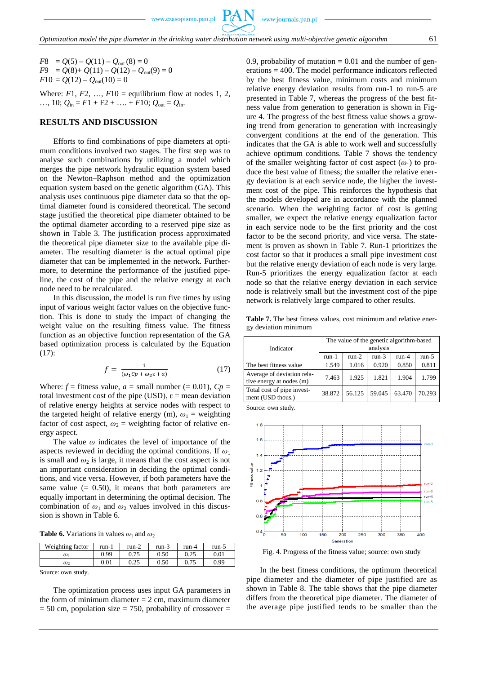$F8 = Q(5) - Q(11) - Q_{\text{out}}(8) = 0$  $F9 = Q(8) + Q(11) - Q(12) - Q_{out}(9) = 0$  $F10 = Q(12) - Q_{\text{out}}(10) = 0$ 

Where:  $F1, F2, ..., F10$  = equilibrium flow at nodes 1, 2, …, 10;  $Q_{in} = F1 + F2 + \ldots + F10$ ;  $Q_{out} = Q_{in}$ .

# **RESULTS AND DISCUSSION**

Efforts to find combinations of pipe diameters at optimum conditions involved two stages. The first step was to analyse such combinations by utilizing a model which merges the pipe network hydraulic equation system based on the Newton–Raphson method and the optimization equation system based on the genetic algorithm (GA). This analysis uses continuous pipe diameter data so that the optimal diameter found is considered theoretical. The second stage justified the theoretical pipe diameter obtained to be the optimal diameter according to a reserved pipe size as shown in Table 3. The justification process approximated the theoretical pipe diameter size to the available pipe diameter. The resulting diameter is the actual optimal pipe diameter that can be implemented in the network. Furthermore, to determine the performance of the justified pipeline, the cost of the pipe and the relative energy at each node need to be recalculated.

In this discussion, the model is run five times by using input of various weight factor values on the objective function. This is done to study the impact of changing the weight value on the resulting fitness value. The fitness function as an objective function representation of the GA based optimization process is calculated by the Equation (17):

$$
f = \frac{1}{(\omega_1 c p + \omega_2 \varepsilon + a)}\tag{17}
$$

Where:  $f =$  fitness value,  $a =$  small number (= 0.01),  $Cp =$ total investment cost of the pipe (USD),  $\varepsilon$  = mean deviation of relative energy heights at service nodes with respect to the targeted height of relative energy (m),  $\omega_1$  = weighting factor of cost aspect,  $\omega_2$  = weighting factor of relative energy aspect.

The value *ω* indicates the level of importance of the aspects reviewed in deciding the optimal conditions. If *ω*<sup>1</sup> is small and  $\omega_2$  is large, it means that the cost aspect is not an important consideration in deciding the optimal conditions, and vice versa. However, if both parameters have the same value  $(= 0.50)$ , it means that both parameters are equally important in determining the optimal decision. The combination of  $\omega_1$  and  $\omega_2$  values involved in this discussion is shown in Table 6.

**Table 6.** Variations in values  $\omega_1$  and  $\omega_2$ 

| Weighting factor | run-1     | $run-2$      | run-3 | run-4        | run-5 |
|------------------|-----------|--------------|-------|--------------|-------|
| $\omega_1$       | 0.99      | ሰ 75<br>U.IJ | 0.50  | ሰ ጎሩ<br>∪.∠J | 0.01  |
| $\omega_2$       | $_{0.01}$ | ሰ ሳድ<br>∪.∠J | 0.50  | J. I J       | 0.99  |

Source: own study.

The optimization process uses input GA parameters in the form of minimum diameter  $= 2$  cm, maximum diameter  $= 50$  cm, population size  $= 750$ , probability of crossover  $=$  0.9, probability of mutation  $= 0.01$  and the number of generations = 400. The model performance indicators reflected by the best fitness value, minimum costs and minimum relative energy deviation results from run-1 to run-5 are presented in Table 7, whereas the progress of the best fitness value from generation to generation is shown in Figure 4. The progress of the best fitness value shows a growing trend from generation to generation with increasingly convergent conditions at the end of the generation. This indicates that the GA is able to work well and successfully achieve optimum conditions. Table 7 shows the tendency of the smaller weighting factor of cost aspect  $(\omega_1)$  to produce the best value of fitness; the smaller the relative energy deviation is at each service node, the higher the investment cost of the pipe. This reinforces the hypothesis that the models developed are in accordance with the planned scenario. When the weighting factor of cost is getting smaller, we expect the relative energy equalization factor in each service node to be the first priority and the cost factor to be the second priority, and vice versa. The statement is proven as shown in Table 7. Run-1 prioritizes the cost factor so that it produces a small pipe investment cost but the relative energy deviation of each node is very large. Run-5 prioritizes the energy equalization factor at each node so that the relative energy deviation in each service node is relatively small but the investment cost of the pipe network is relatively large compared to other results.

Table 7. The best fitness values, cost minimum and relative energy deviation minimum

| Indicator                                              | The value of the genetic algorithm-based<br>analysis |         |         |         |         |  |  |  |  |
|--------------------------------------------------------|------------------------------------------------------|---------|---------|---------|---------|--|--|--|--|
|                                                        | $run-1$                                              | $run-2$ | $run-3$ | $run-4$ | $run-5$ |  |  |  |  |
| The best fitness value                                 | 1.549                                                | 1.016   | 0.920   | 0.850   | 0.811   |  |  |  |  |
| Average of deviation rela-<br>tive energy at nodes (m) | 7.463                                                | 1.925   | 1.821   | 1.904   | 1.799   |  |  |  |  |
| Total cost of pipe invest-<br>ment (USD thous.)        | 38.872                                               | 56.125  | 59.045  | 63.470  | 70.293  |  |  |  |  |

Source: own study.



Fig. 4. Progress of the fitness value; source: own study

In the best fitness conditions, the optimum theoretical pipe diameter and the diameter of pipe justified are as shown in Table 8. The table shows that the pipe diameter differs from the theoretical pipe diameter. The diameter of the average pipe justified tends to be smaller than the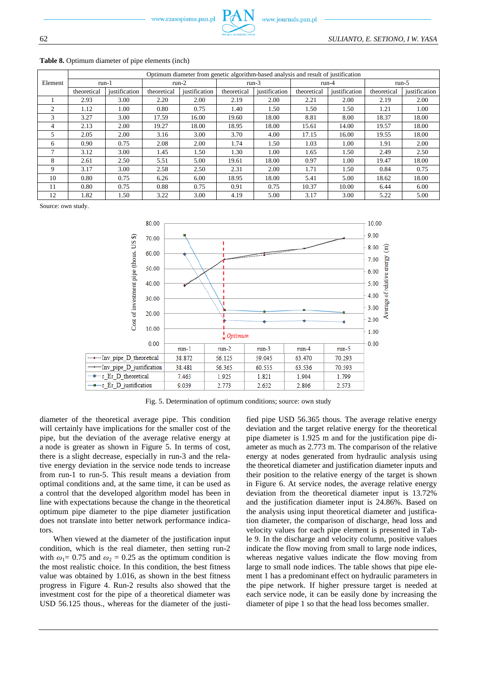|         |             |               |             |               |             | Optimum diameter from genetic algorithm-based analysis and result of justification |             |               |             |               |  |
|---------|-------------|---------------|-------------|---------------|-------------|------------------------------------------------------------------------------------|-------------|---------------|-------------|---------------|--|
| Element | run-1       |               | $run-2$     |               |             | $run-3$                                                                            |             | run-4         | run- $5$    |               |  |
|         | theoretical | justification | theoretical | justification | theoretical | justification                                                                      | theoretical | justification | theoretical | justification |  |
|         | 2.93        | 3.00          | 2.20        | 2.00          | 2.19        | 2.00                                                                               | 2.21        | 2.00          | 2.19        | 2.00          |  |
| 2       | 1.12        | 1.00          | 0.80        | 0.75          | 1.40        | 1.50                                                                               | 1.50        | 1.50          | 1.21        | 1.00          |  |
| 3       | 3.27        | 3.00          | 17.59       | 16.00         | 19.60       | 18.00                                                                              | 8.81        | 8.00          | 18.37       | 18.00         |  |
| 4       | 2.13        | 2.00          | 19.27       | 18.00         | 18.95       | 18.00                                                                              | 15.61       | 14.00         | 19.57       | 18.00         |  |
| 5       | 2.05        | 2.00          | 3.16        | 3.00          | 3.70        | 4.00                                                                               | 17.15       | 16.00         | 19.55       | 18.00         |  |
| 6       | 0.90        | 0.75          | 2.08        | 2.00          | 1.74        | 1.50                                                                               | 1.03        | 1.00          | 1.91        | 2.00          |  |
| 7       | 3.12        | 3.00          | 1.45        | 1.50          | 1.30        | 1.00                                                                               | 1.65        | 1.50          | 2.49        | 2.50          |  |
| 8       | 2.61        | 2.50          | 5.51        | 5.00          | 19.61       | 18.00                                                                              | 0.97        | 1.00          | 19.47       | 18.00         |  |
| 9       | 3.17        | 3.00          | 2.58        | 2.50          | 2.31        | 2.00                                                                               | 1.71        | 1.50          | 0.84        | 0.75          |  |
| 10      | 0.80        | 0.75          | 6.26        | 6.00          | 18.95       | 18.00                                                                              | 5.41        | 5.00          | 18.62       | 18.00         |  |
| 11      | 0.80        | 0.75          | 0.88        | 0.75          | 0.91        | 0.75                                                                               | 10.37       | 10.00         | 6.44        | 6.00          |  |
| 12      | 1.82        | 1.50          | 3.22        | 3.00          | 4.19        | 5.00                                                                               | 3.17        | 3.00          | 5.22        | 5.00          |  |

#### Table 8. Optimum diameter of pipe elements (inch)

Source: own study.



Fig. 5. Determination of optimum conditions; source: own study

diameter of the theoretical average pipe. This condition will certainly have implications for the smaller cost of the pipe, but the deviation of the average relative energy at a node is greater as shown in Figure 5. In terms of cost, there is a slight decrease, especially in run-3 and the relative energy deviation in the service node tends to increase from run-1 to run-5. This result means a deviation from optimal conditions and, at the same time, it can be used as a control that the developed algorithm model has been in line with expectations because the change in the theoretical optimum pipe diameter to the pipe diameter justification does not translate into better network performance indicators.

When viewed at the diameter of the justification input condition, which is the real diameter, then setting run-2 with  $\omega_1 = 0.75$  and  $\omega_2 = 0.25$  as the optimum condition is the most realistic choice. In this condition, the best fitness value was obtained by 1.016, as shown in the best fitness progress in Figure 4. Run-2 results also showed that the investment cost for the pipe of a theoretical diameter was USD 56.125 thous., whereas for the diameter of the justified pipe USD 56.365 thous. The average relative energy deviation and the target relative energy for the theoretical pipe diameter is 1.925 m and for the justification pipe diameter as much as 2.773 m. The comparison of the relative energy at nodes generated from hydraulic analysis using the theoretical diameter and justification diameter inputs and their position to the relative energy of the target is shown in Figure 6. At service nodes, the average relative energy deviation from the theoretical diameter input is 13.72% and the justification diameter input is 24.86%. Based on the analysis using input theoretical diameter and justification diameter, the comparison of discharge, head loss and velocity values for each pipe element is presented in Table 9. In the discharge and velocity column, positive values indicate the flow moving from small to large node indices, whereas negative values indicate the flow moving from large to small node indices. The table shows that pipe element 1 has a predominant effect on hydraulic parameters in the pipe network. If higher pressure target is needed at each service node, it can be easily done by increasing the diameter of pipe 1 so that the head loss becomes smaller.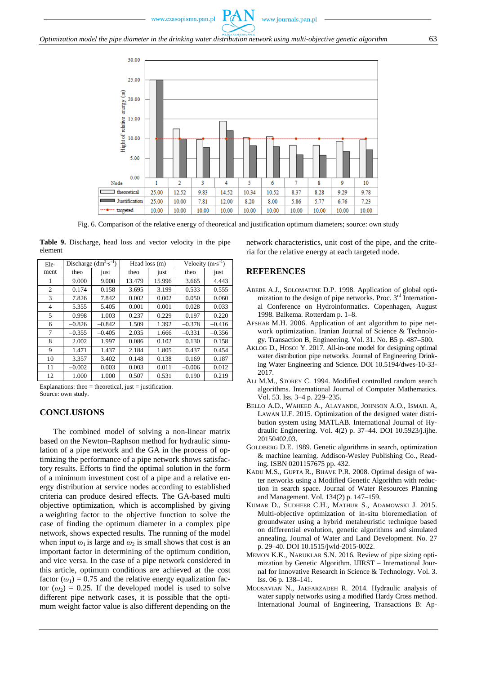

*Optimization model the pipe diameter in the drinking water distribution network using multi-objective genetic algorithm* 63



Fig. 6. Comparison of the relative energy of theoretical and justification optimum diameters; source: own study

|         | Table 9. Discharge, head loss and vector velocity in the pipe |  |  |  |  |
|---------|---------------------------------------------------------------|--|--|--|--|
| element |                                                               |  |  |  |  |

| Ele- |          | Discharge $(dm^3 \cdot s^{-1})$ |        | Head loss (m) | Velocity $(m \cdot s^{-1})$ |          |
|------|----------|---------------------------------|--------|---------------|-----------------------------|----------|
| ment | theo     | just                            | theo   | just          | theo                        | just     |
| 1    | 9.000    | 9.000                           | 13.479 | 15.996        | 3.665                       | 4.443    |
| 2    | 0.174    | 0.158                           | 3.695  | 3.199         | 0.533                       | 0.555    |
| 3    | 7.826    | 7.842                           | 0.002  | 0.002         | 0.050                       | 0.060    |
| 4    | 5.355    | 5.405                           | 0.001  | 0.001         | 0.028                       | 0.033    |
| 5    | 0.998    | 1.003                           | 0.237  | 0.229         | 0.197                       | 0.220    |
| 6    | $-0.826$ | $-0.842$                        | 1.509  | 1.392         | $-0.378$                    | $-0.416$ |
| 7    | $-0.355$ | $-0.405$                        | 2.035  | 1.666         | $-0.331$                    | $-0.356$ |
| 8    | 2.002    | 1.997                           | 0.086  | 0.102         | 0.130                       | 0.158    |
| 9    | 1.471    | 1.437                           | 2.184  | 1.805         | 0.437                       | 0.454    |
| 10   | 3.357    | 3.402                           | 0.148  | 0.138         | 0.169                       | 0.187    |
| 11   | $-0.002$ | 0.003                           | 0.003  | 0.011         | $-0.006$                    | 0.012    |
| 12   | 1.000    | 1.000                           | 0.507  | 0.531         | 0.190                       | 0.219    |

Explanations: theo  $=$  theoretical, just  $=$  justification. Source: own study.

### **CONCLUSIONS**

The combined model of solving a non-linear matrix based on the Newton–Raphson method for hydraulic simulation of a pipe network and the GA in the process of optimizing the performance of a pipe network shows satisfactory results. Efforts to find the optimal solution in the form of a minimum investment cost of a pipe and a relative energy distribution at service nodes according to established criteria can produce desired effects. The GA-based multi objective optimization, which is accomplished by giving a weighting factor to the objective function to solve the case of finding the optimum diameter in a complex pipe network, shows expected results. The running of the model when input  $\omega_1$  is large and  $\omega_2$  is small shows that cost is an important factor in determining of the optimum condition, and vice versa. In the case of a pipe network considered in this article, optimum conditions are achieved at the cost factor  $(\omega_1) = 0.75$  and the relative energy equalization factor  $(\omega_2) = 0.25$ . If the developed model is used to solve different pipe network cases, it is possible that the optimum weight factor value is also different depending on the network characteristics, unit cost of the pipe, and the criteria for the relative energy at each targeted node.

# **REFERENCES**

- ABEBE A.J., SOLOMATINE D.P. 1998. Application of global optimization to the design of pipe networks. Proc. 3<sup>rd</sup> International Conference on Hydroinformatics. Copenhagen, August 1998. Balkema. Rotterdam p. 1–8.
- AFSHAR M.H. 2006. Application of ant algorithm to pipe network optimization. Iranian Journal of Science & Technology. Transaction B, Engineering. Vol. 31. No. B5 p. 487–500.
- AKLOG D., HOSOI Y. 2017. All-in-one model for designing optimal water distribution pipe networks. Journal of Engineering Drinking Water Engineering and Science. DOI [10.5194/dwes-10-33-](https://doi.org/10.5194/dwes-10-33-2017) [2017.](https://doi.org/10.5194/dwes-10-33-2017)
- ALI M.M., STOREY C. 1994. Modified controlled random search algorithms. International Journal of Computer Mathematics. Vol. 53. Iss. 3–4 p. 229–235.
- BELLO A.D., WAHEED A., ALAYANDE, JOHNSON A.O., ISMAIL A, LAWAN U.F. 2015. Optimization of the designed water distribution system using MATLAB. International Journal of Hydraulic Engineering. Vol. 4(2) p. 37–44. DOI [10.5923/j.ijhe.](https://doi.org/10.5923/j.ijhe.20150402.03) [20150402.03.](https://doi.org/10.5923/j.ijhe.20150402.03)
- GOLDBERG D.E. 1989. Genetic algorithms in search, optimization & machine learning. Addison-Wesley Publishing Co., Reading. ISBN 0201157675 pp. 432.
- KADU M.S., GUPTA R., BHAVE P.R. 2008. Optimal design of water networks using a Modified Genetic Algorithm with reduction in search space. Journal of Water Resources Planning and Management. Vol. 134(2) p. 147–159.
- KUMAR D., SUDHEER C.H., MATHUR S., ADAMOWSKI J. 2015. Multi-objective optimization of in-situ bioremediation of groundwater using a hybrid metaheuristic technique based on differential evolution, genetic algorithms and simulated annealing. Journal of Water and Land Development. No. 27 p. 29–40. DOI [10.1515/jwld-2015-0022.](https://doi.org/10.1515/jwld-2015-0022)
- MEMON K.K., NARUKLAR S.N. 2016. Review of pipe sizing optimization by Genetic Algorithm. IJIRST – International Journal for Innovative Research in Science & Technology. Vol. 3. Iss. 06 p. 138–141.
- MOOSAVIAN N., JAEFARZADEH R. 2014. Hydraulic analysis of water supply networks using a modified Hardy Cross method. International Journal of Engineering, Transactions B: Ap-